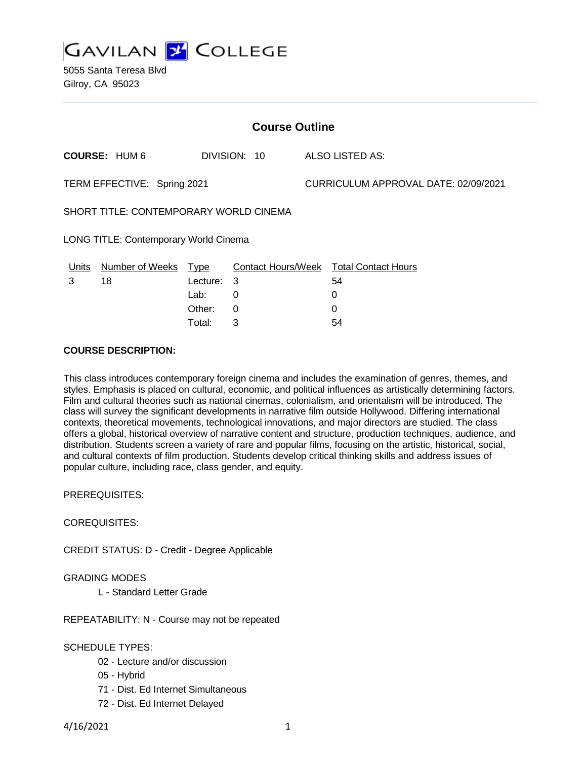**GAVILAN J COLLEGE** 

5055 Santa Teresa Blvd Gilroy, CA 95023

| <b>Course Outline</b>                  |                      |             |              |  |                                        |  |
|----------------------------------------|----------------------|-------------|--------------|--|----------------------------------------|--|
|                                        | <b>COURSE: HUM 6</b> |             | DIVISION: 10 |  | ALSO LISTED AS:                        |  |
| TERM EFFECTIVE: Spring 2021            |                      |             |              |  | CURRICULUM APPROVAL DATE: 02/09/2021   |  |
| SHORT TITLE: CONTEMPORARY WORLD CINEMA |                      |             |              |  |                                        |  |
| LONG TITLE: Contemporary World Cinema  |                      |             |              |  |                                        |  |
| Units                                  | Number of Weeks      | <b>Type</b> |              |  | Contact Hours/Week Total Contact Hours |  |
| 3                                      | 18                   | Lecture:    | 3            |  | 54                                     |  |
|                                        |                      | Lab:        | 0            |  | 0                                      |  |
|                                        |                      | Other:      | 0            |  | 0                                      |  |
|                                        |                      | Total⊤      | 3            |  | 54                                     |  |

#### **COURSE DESCRIPTION:**

This class introduces contemporary foreign cinema and includes the examination of genres, themes, and styles. Emphasis is placed on cultural, economic, and political influences as artistically determining factors. Film and cultural theories such as national cinemas, colonialism, and orientalism will be introduced. The class will survey the significant developments in narrative film outside Hollywood. Differing international contexts, theoretical movements, technological innovations, and major directors are studied. The class offers a global, historical overview of narrative content and structure, production techniques, audience, and distribution. Students screen a variety of rare and popular films, focusing on the artistic, historical, social, and cultural contexts of film production. Students develop critical thinking skills and address issues of popular culture, including race, class gender, and equity.

PREREQUISITES:

COREQUISITES:

CREDIT STATUS: D - Credit - Degree Applicable

GRADING MODES

L - Standard Letter Grade

REPEATABILITY: N - Course may not be repeated

SCHEDULE TYPES:

- 02 Lecture and/or discussion
- 05 Hybrid
- 71 Dist. Ed Internet Simultaneous
- 72 Dist. Ed Internet Delayed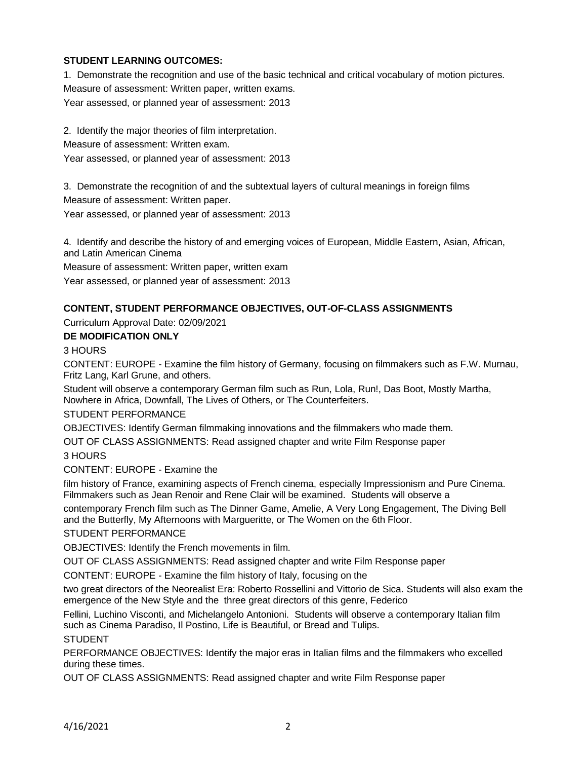### **STUDENT LEARNING OUTCOMES:**

1. Demonstrate the recognition and use of the basic technical and critical vocabulary of motion pictures. Measure of assessment: Written paper, written exams.

Year assessed, or planned year of assessment: 2013

2. Identify the major theories of film interpretation.

Measure of assessment: Written exam.

Year assessed, or planned year of assessment: 2013

3. Demonstrate the recognition of and the subtextual layers of cultural meanings in foreign films

Measure of assessment: Written paper.

Year assessed, or planned year of assessment: 2013

4. Identify and describe the history of and emerging voices of European, Middle Eastern, Asian, African, and Latin American Cinema

Measure of assessment: Written paper, written exam

Year assessed, or planned year of assessment: 2013

### **CONTENT, STUDENT PERFORMANCE OBJECTIVES, OUT-OF-CLASS ASSIGNMENTS**

Curriculum Approval Date: 02/09/2021

#### **DE MODIFICATION ONLY**

3 HOURS

CONTENT: EUROPE - Examine the film history of Germany, focusing on filmmakers such as F.W. Murnau, Fritz Lang, Karl Grune, and others.

Student will observe a contemporary German film such as Run, Lola, Run!, Das Boot, Mostly Martha, Nowhere in Africa, Downfall, The Lives of Others, or The Counterfeiters.

#### STUDENT PERFORMANCE

OBJECTIVES: Identify German filmmaking innovations and the filmmakers who made them.

OUT OF CLASS ASSIGNMENTS: Read assigned chapter and write Film Response paper

### 3 HOURS

CONTENT: EUROPE - Examine the

film history of France, examining aspects of French cinema, especially Impressionism and Pure Cinema. Filmmakers such as Jean Renoir and Rene Clair will be examined. Students will observe a

contemporary French film such as The Dinner Game, Amelie, A Very Long Engagement, The Diving Bell and the Butterfly, My Afternoons with Margueritte, or The Women on the 6th Floor.

### STUDENT PERFORMANCE

OBJECTIVES: Identify the French movements in film.

OUT OF CLASS ASSIGNMENTS: Read assigned chapter and write Film Response paper

CONTENT: EUROPE - Examine the film history of Italy, focusing on the

two great directors of the Neorealist Era: Roberto Rossellini and Vittorio de Sica. Students will also exam the emergence of the New Style and the three great directors of this genre, Federico

Fellini, Luchino Visconti, and Michelangelo Antonioni. Students will observe a contemporary Italian film such as Cinema Paradiso, Il Postino, Life is Beautiful, or Bread and Tulips.

STUDENT

PERFORMANCE OBJECTIVES: Identify the major eras in Italian films and the filmmakers who excelled during these times.

OUT OF CLASS ASSIGNMENTS: Read assigned chapter and write Film Response paper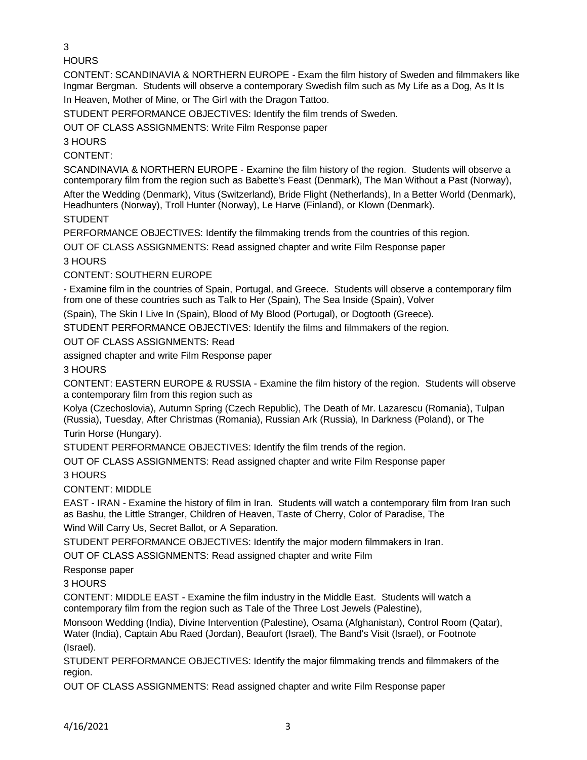3

**HOURS** 

CONTENT: SCANDINAVIA & NORTHERN EUROPE - Exam the film history of Sweden and filmmakers like Ingmar Bergman. Students will observe a contemporary Swedish film such as My Life as a Dog, As It Is In Heaven, Mother of Mine, or The Girl with the Dragon Tattoo.

STUDENT PERFORMANCE OBJECTIVES: Identify the film trends of Sweden.

OUT OF CLASS ASSIGNMENTS: Write Film Response paper

3 HOURS

CONTENT:

SCANDINAVIA & NORTHERN EUROPE - Examine the film history of the region. Students will observe a contemporary film from the region such as Babette's Feast (Denmark), The Man Without a Past (Norway),

After the Wedding (Denmark), Vitus (Switzerland), Bride Flight (Netherlands), In a Better World (Denmark), Headhunters (Norway), Troll Hunter (Norway), Le Harve (Finland), or Klown (Denmark).

STUDENT

PERFORMANCE OBJECTIVES: Identify the filmmaking trends from the countries of this region.

OUT OF CLASS ASSIGNMENTS: Read assigned chapter and write Film Response paper

3 HOURS

CONTENT: SOUTHERN EUROPE

- Examine film in the countries of Spain, Portugal, and Greece. Students will observe a contemporary film from one of these countries such as Talk to Her (Spain), The Sea Inside (Spain), Volver

(Spain), The Skin I Live In (Spain), Blood of My Blood (Portugal), or Dogtooth (Greece).

STUDENT PERFORMANCE OBJECTIVES: Identify the films and filmmakers of the region.

OUT OF CLASS ASSIGNMENTS: Read

assigned chapter and write Film Response paper

3 HOURS

CONTENT: EASTERN EUROPE & RUSSIA - Examine the film history of the region. Students will observe a contemporary film from this region such as

Kolya (Czechoslovia), Autumn Spring (Czech Republic), The Death of Mr. Lazarescu (Romania), Tulpan (Russia), Tuesday, After Christmas (Romania), Russian Ark (Russia), In Darkness (Poland), or The Turin Horse (Hungary).

STUDENT PERFORMANCE OBJECTIVES: Identify the film trends of the region.

OUT OF CLASS ASSIGNMENTS: Read assigned chapter and write Film Response paper 3 HOURS

CONTENT: MIDDLE

EAST - IRAN - Examine the history of film in Iran. Students will watch a contemporary film from Iran such as Bashu, the Little Stranger, Children of Heaven, Taste of Cherry, Color of Paradise, The Wind Will Carry Us, Secret Ballot, or A Separation.

STUDENT PERFORMANCE OBJECTIVES: Identify the major modern filmmakers in Iran.

OUT OF CLASS ASSIGNMENTS: Read assigned chapter and write Film

Response paper

3 HOURS

CONTENT: MIDDLE EAST - Examine the film industry in the Middle East. Students will watch a contemporary film from the region such as Tale of the Three Lost Jewels (Palestine),

Monsoon Wedding (India), Divine Intervention (Palestine), Osama (Afghanistan), Control Room (Qatar), Water (India), Captain Abu Raed (Jordan), Beaufort (Israel), The Band's Visit (Israel), or Footnote (Israel).

STUDENT PERFORMANCE OBJECTIVES: Identify the major filmmaking trends and filmmakers of the region.

OUT OF CLASS ASSIGNMENTS: Read assigned chapter and write Film Response paper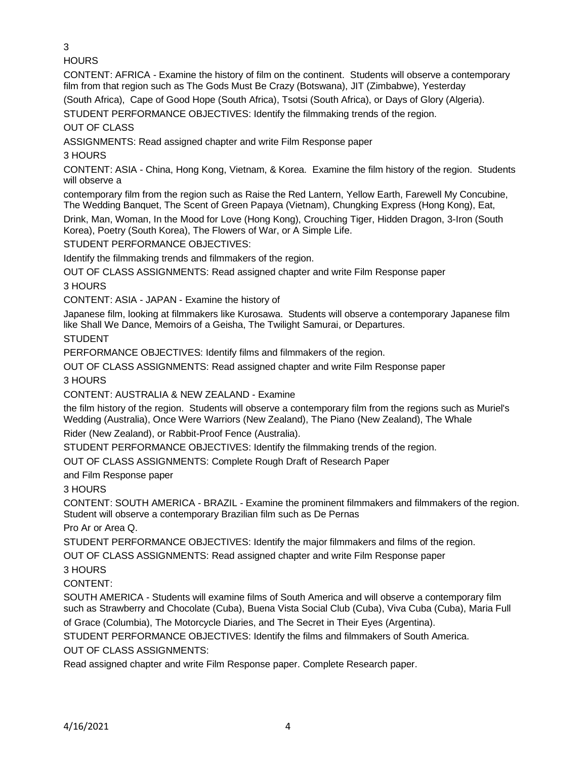3

**HOURS** 

CONTENT: AFRICA - Examine the history of film on the continent. Students will observe a contemporary film from that region such as The Gods Must Be Crazy (Botswana), JIT (Zimbabwe), Yesterday

(South Africa), Cape of Good Hope (South Africa), Tsotsi (South Africa), or Days of Glory (Algeria).

STUDENT PERFORMANCE OBJECTIVES: Identify the filmmaking trends of the region.

OUT OF CLASS

ASSIGNMENTS: Read assigned chapter and write Film Response paper

3 HOURS

CONTENT: ASIA - China, Hong Kong, Vietnam, & Korea. Examine the film history of the region. Students will observe a

contemporary film from the region such as Raise the Red Lantern, Yellow Earth, Farewell My Concubine, The Wedding Banquet, The Scent of Green Papaya (Vietnam), Chungking Express (Hong Kong), Eat,

Drink, Man, Woman, In the Mood for Love (Hong Kong), Crouching Tiger, Hidden Dragon, 3-Iron (South Korea), Poetry (South Korea), The Flowers of War, or A Simple Life.

STUDENT PERFORMANCE OBJECTIVES:

Identify the filmmaking trends and filmmakers of the region.

OUT OF CLASS ASSIGNMENTS: Read assigned chapter and write Film Response paper

3 HOURS

CONTENT: ASIA - JAPAN - Examine the history of

Japanese film, looking at filmmakers like Kurosawa. Students will observe a contemporary Japanese film like Shall We Dance, Memoirs of a Geisha, The Twilight Samurai, or Departures.

STUDENT

PERFORMANCE OBJECTIVES: Identify films and filmmakers of the region.

OUT OF CLASS ASSIGNMENTS: Read assigned chapter and write Film Response paper

3 HOURS

CONTENT: AUSTRALIA & NEW ZEALAND - Examine

the film history of the region. Students will observe a contemporary film from the regions such as Muriel's Wedding (Australia), Once Were Warriors (New Zealand), The Piano (New Zealand), The Whale

Rider (New Zealand), or Rabbit-Proof Fence (Australia).

STUDENT PERFORMANCE OBJECTIVES: Identify the filmmaking trends of the region.

OUT OF CLASS ASSIGNMENTS: Complete Rough Draft of Research Paper

and Film Response paper

3 HOURS

CONTENT: SOUTH AMERICA - BRAZIL - Examine the prominent filmmakers and filmmakers of the region. Student will observe a contemporary Brazilian film such as De Pernas

Pro Ar or Area Q.

STUDENT PERFORMANCE OBJECTIVES: Identify the major filmmakers and films of the region.

OUT OF CLASS ASSIGNMENTS: Read assigned chapter and write Film Response paper

3 HOURS

CONTENT:

SOUTH AMERICA - Students will examine films of South America and will observe a contemporary film such as Strawberry and Chocolate (Cuba), Buena Vista Social Club (Cuba), Viva Cuba (Cuba), Maria Full

of Grace (Columbia), The Motorcycle Diaries, and The Secret in Their Eyes (Argentina).

STUDENT PERFORMANCE OBJECTIVES: Identify the films and filmmakers of South America.

OUT OF CLASS ASSIGNMENTS:

Read assigned chapter and write Film Response paper. Complete Research paper.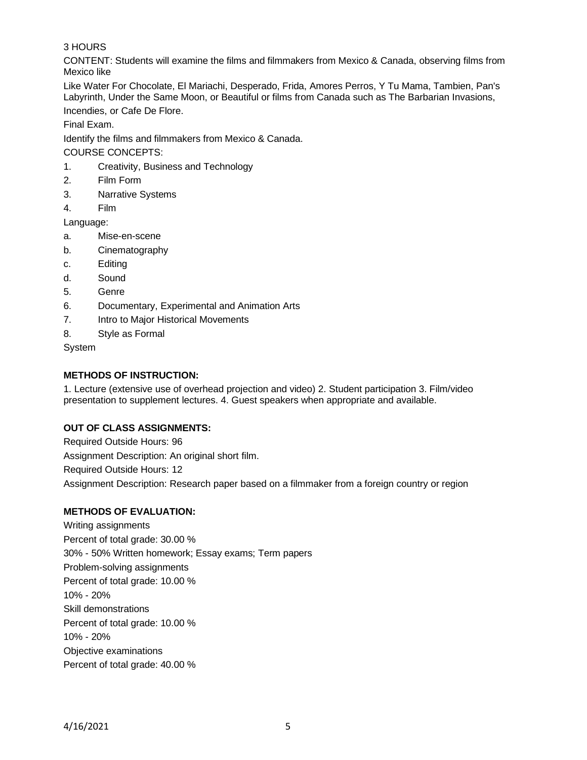# 3 HOURS

CONTENT: Students will examine the films and filmmakers from Mexico & Canada, observing films from Mexico like

Like Water For Chocolate, El Mariachi, Desperado, Frida, Amores Perros, Y Tu Mama, Tambien, Pan's Labyrinth, Under the Same Moon, or Beautiful or films from Canada such as The Barbarian Invasions, Incendies, or Cafe De Flore.

Final Exam.

Identify the films and filmmakers from Mexico & Canada.

COURSE CONCEPTS:

- 1. Creativity, Business and Technology
- 2. Film Form
- 3. Narrative Systems
- 4. Film

Language:

- a. Mise-en-scene
- b. Cinematography
- c. Editing
- d. Sound
- 5. Genre
- 6. Documentary, Experimental and Animation Arts
- 7. Intro to Major Historical Movements
- 8. Style as Formal

System

# **METHODS OF INSTRUCTION:**

1. Lecture (extensive use of overhead projection and video) 2. Student participation 3. Film/video presentation to supplement lectures. 4. Guest speakers when appropriate and available.

# **OUT OF CLASS ASSIGNMENTS:**

Required Outside Hours: 96 Assignment Description: An original short film. Required Outside Hours: 12 Assignment Description: Research paper based on a filmmaker from a foreign country or region

# **METHODS OF EVALUATION:**

Writing assignments Percent of total grade: 30.00 % 30% - 50% Written homework; Essay exams; Term papers Problem-solving assignments Percent of total grade: 10.00 % 10% - 20% Skill demonstrations Percent of total grade: 10.00 % 10% - 20% Objective examinations Percent of total grade: 40.00 %